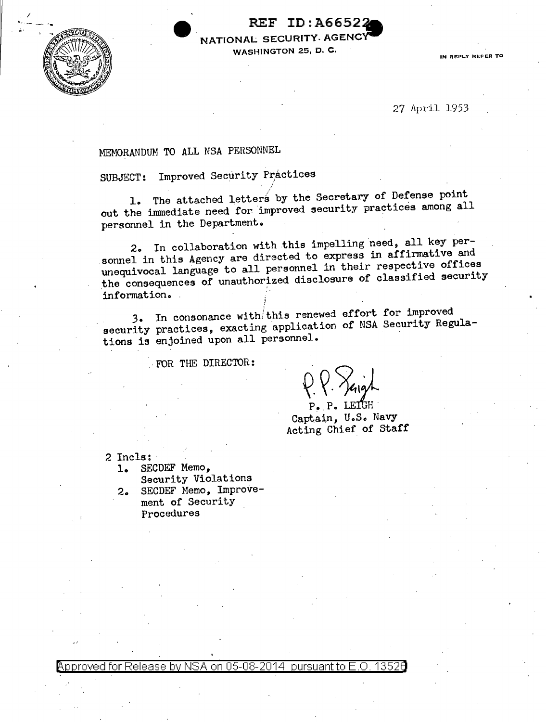

I

 $\begin{array}{ccc}\n & \text{REF ID: A66522} \\
\hline\n & \text{REF ID: A66522}\n \end{array}$ NATIONAL SECURITY AGENCY WASHINGTON 25, D. C. **IN REPLACE OF A PARTICIPAL CONTRACTOR** 

27 April 1953

# MEMORANDUM TO ALL NSA PERSONNEL

SUBJECT: Improved Security Practices

*/*  1. The attached letters by the Secretary of Defense point out the immediate need for improved security practices among all personnel in the Department.

2. In collaboration with this impelling need, all key personnel in this Agency are directed to express in affirmative and unequivocal language to all personnel in their respective offices the consequences of unauthorized disclosure of classified security information.

3. In consonance with/this renewed effort for improved security practices, exacting application of NSA Security Regulations is enjoined upon all personnel.

· FOR THE DIRECTOR:

P. P. LEIGH

Captain, U.S. Navy Acting Chief of Staff

2 Incls:<br>1. SE

SECDEF Memo,

Security Violations 2. SECDEF Memo, Improvement of Security Procedures

 $\rho_{\rm ^{2}}$  Approved for Release by NSA on 05-08-2014  $\,$  pursuant to E.O. 1352 $\rho$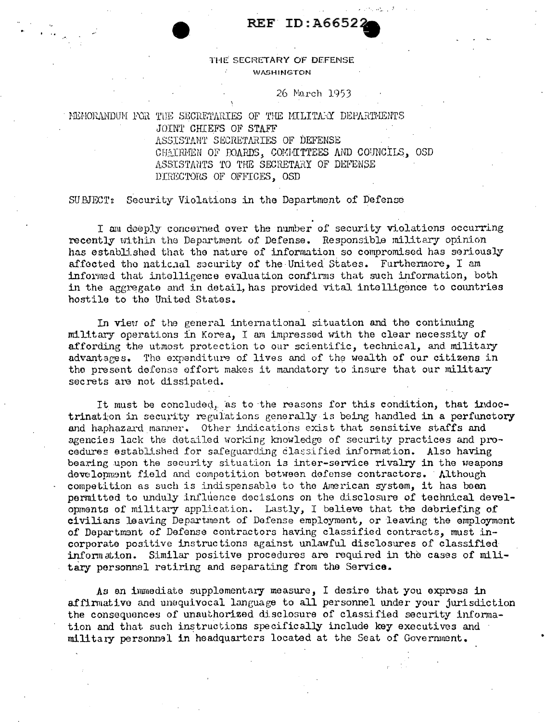## **REF ID: A66522**

#### THE SECRETARY OF DEFENSE **WASHINGTON**

#### 26 March 1953

## MEMORANDUM FOR THE SECRETARIES OF THE MILITARY DEPARTMENTS JOINT CHIEFS OF STAFF ASSISTANT SECRETARIES OF DEFENSE CHAIRMEN OF POARDS, COMMITTEES AND COUNCILS, OSD ASSISTANTS TO THE SECRETARY OF DEFENSE DIRECTORS OF OFFICES, OSD

#### Security Violations in the Department of Defense  ${\tt SUBINT}:$

I am deeply concerned over the number of security violations occurring recently within the Department of Defense. Responsible military opinion has established that the nature of information so compromised has seriously affected the national security of the United States. Furthermore, I am informed that intelligence evaluation confirms that such information, both in the aggregate and in detail, has provided vital intelligence to countries hostile to the United States.

In view of the general international situation and the continuing military operations in Korea, I am impressed with the clear necessity of affording the utmost protection to our scientific, technical, and military advantages. The expenditure of lives and of the wealth of our citizens in the present defense effort makes it mandatory to insure that our military secrets are not dissipated.

It must be concluded, as to the reasons for this condition, that indoctrination in security regulations generally is being handled in a perfunctory and haphazard manner. Other indications exist that sensitive staffs and agencies lack the detailed working knowledge of security practices and procedures established for safeguarding classified information. Also having bearing upon the security situation is inter-service rivalry in the weapons develonment field and competition between defense contractors. Although competition as such is indispensable to the American system, it has been permitted to unduly influence decisions on the disclosure of technical developments of military application. Lastly, I believe that the debriefing of civilians leaving Department of Defense employment, or leaving the employment of Department of Defense contractors having classified contracts, must incorporate positive instructions against unlawful disclosures of classified information. Similar positive procedures are required in the cases of military personnel retiring and separating from the Service.

As an immediate supplementary measure, I desire that you express in affirmative and unequivocal language to all personnel under your jurisdiction the consequences of unauthorized disclosure of classified security information and that such instructions specifically include key executives and military personnal in headquarters located at the Seat of Government.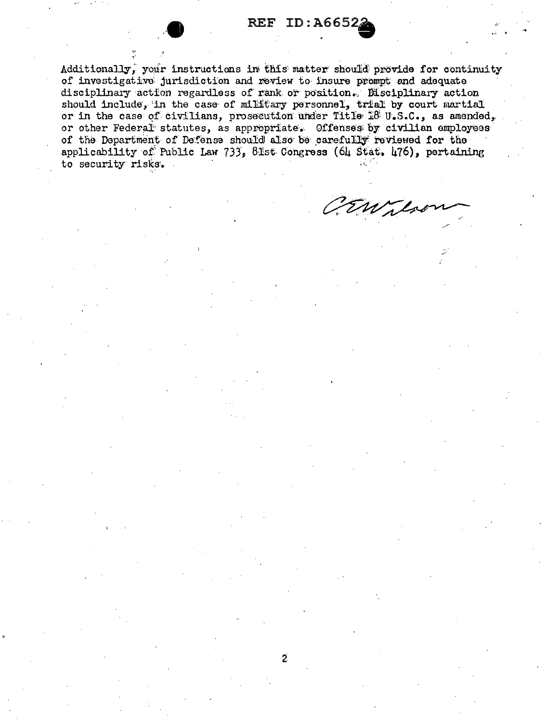## **REF ID: A6652**

Additionally, your instructions in this matter should provide for continuity of investigative jurisdiction and review to insure prompt and adequate disciplinary action regardless of rank or position. Disciplinary action should include, in the case of military personnel, trial by court martial or in the case of civilians, prosecution under Title 18 U.S.C., as amended, or other Federal statutes, as appropriate. Offenses by civilian employees of the Department of Defense should also be carefully reviewed for the applicability of Public Law 733, 81st Congress (64 Stat. 476), pertaining to security risks.

CEWilso